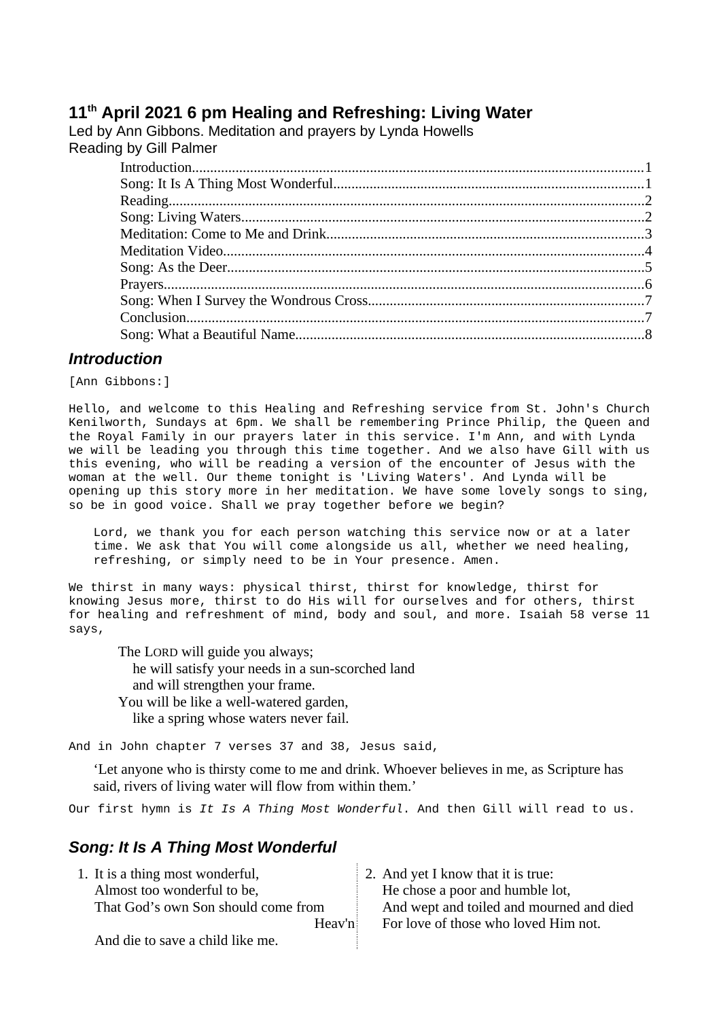# **11th April 2021 6 pm Healing and Refreshing: Living Water**

Led by Ann Gibbons. Meditation and prayers by Lynda Howells Reading by Gill Palmer

## <span id="page-0-1"></span>*Introduction*

[Ann Gibbons:]

Hello, and welcome to this Healing and Refreshing service from St. John's Church Kenilworth, Sundays at 6pm. We shall be remembering Prince Philip, the Queen and the Royal Family in our prayers later in this service. I'm Ann, and with Lynda we will be leading you through this time together. And we also have Gill with us this evening, who will be reading a version of the encounter of Jesus with the woman at the well. Our theme tonight is 'Living Waters'. And Lynda will be opening up this story more in her meditation. We have some lovely songs to sing, so be in good voice. Shall we pray together before we begin?

Lord, we thank you for each person watching this service now or at a later time. We ask that You will come alongside us all, whether we need healing, refreshing, or simply need to be in Your presence. Amen.

We thirst in many ways: physical thirst, thirst for knowledge, thirst for knowing Jesus more, thirst to do His will for ourselves and for others, thirst for healing and refreshment of mind, body and soul, and more. Isaiah 58 verse 11 says,

The LORD will guide you always; he will satisfy your needs in a sun-scorched land and will strengthen your frame. You will be like a well-watered garden, like a spring whose waters never fail.

And in John chapter 7 verses 37 and 38, Jesus said,

'Let anyone who is thirsty come to me and drink. Whoever believes in me, as Scripture has said, rivers of living water will flow from within them.'

Our first hymn is *It Is A Thing Most Wonderful*. And then Gill will read to us.

# <span id="page-0-0"></span>*Song: It Is A Thing Most Wonderful*

| 1. It is a thing most wonderful,    | 2. And yet I know that it is true:       |
|-------------------------------------|------------------------------------------|
| Almost too wonderful to be,         | He chose a poor and humble lot,          |
| That God's own Son should come from | And wept and toiled and mourned and died |
| Heav'n                              | For love of those who loved Him not.     |
| And die to save a child like me.    |                                          |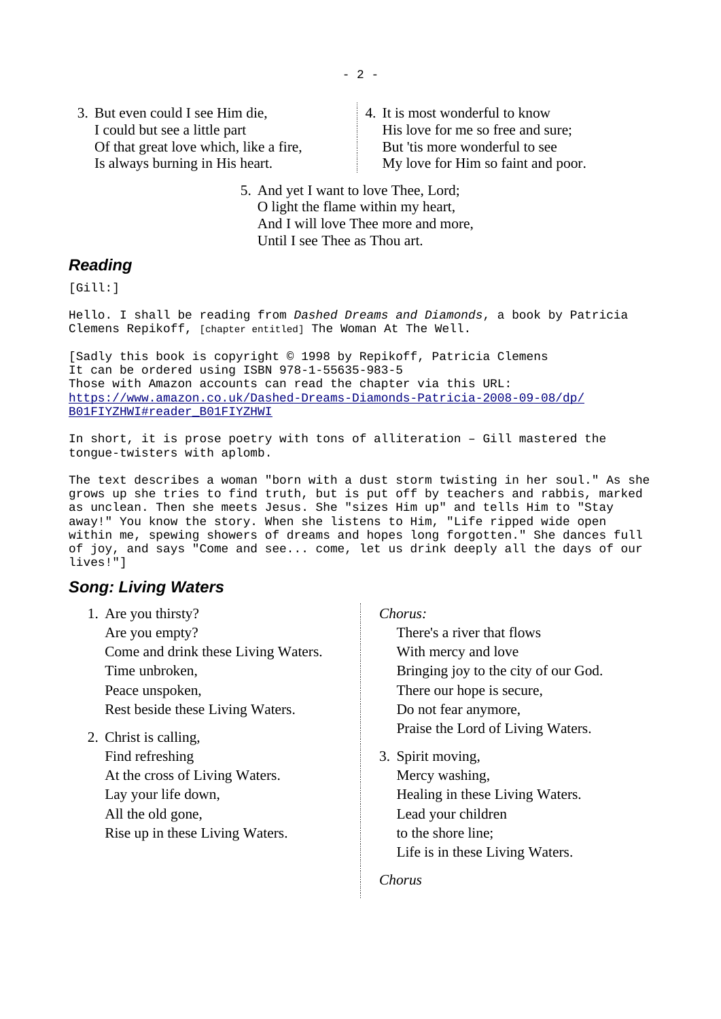- 2 -

3. But even could I see Him die, I could but see a little part Of that great love which, like a fire, Is always burning in His heart.

4. It is most wonderful to know His love for me so free and sure; But 'tis more wonderful to see My love for Him so faint and poor.

5. And yet I want to love Thee, Lord; O light the flame within my heart, And I will love Thee more and more, Until I see Thee as Thou art.

## <span id="page-1-1"></span>*Reading*

[Gill:]

Hello. I shall be reading from *Dashed Dreams and Diamonds*, a book by Patricia Clemens Repikoff, [chapter entitled] The Woman At The Well.

[Sadly this book is copyright © 1998 by Repikoff, Patricia Clemens It can be ordered using ISBN 978-1-55635-983-5 Those with Amazon accounts can read the chapter via this URL: [https://www.amazon.co.uk/Dashed-Dreams-Diamonds-Patricia-2008-09-08/dp/](https://www.amazon.co.uk/Dashed-Dreams-Diamonds-Patricia-2008-09-08/dp/B01FIYZHWI#reader_B01FIYZHWI) [B01FIYZHWI#reader\\_B01FIYZHWI](https://www.amazon.co.uk/Dashed-Dreams-Diamonds-Patricia-2008-09-08/dp/B01FIYZHWI#reader_B01FIYZHWI)

In short, it is prose poetry with tons of alliteration – Gill mastered the tongue-twisters with aplomb.

The text describes a woman "born with a dust storm twisting in her soul." As she grows up she tries to find truth, but is put off by teachers and rabbis, marked as unclean. Then she meets Jesus. She "sizes Him up" and tells Him to "Stay away!" You know the story. When she listens to Him, "Life ripped wide open within me, spewing showers of dreams and hopes long forgotten." She dances full of joy, and says "Come and see... come, let us drink deeply all the days of our lives!"]

## <span id="page-1-0"></span>*Song: Living Waters*

| 1. Are you thirsty?                 | Chorus:                              |
|-------------------------------------|--------------------------------------|
| Are you empty?                      | There's a river that flows           |
| Come and drink these Living Waters. | With mercy and love                  |
| Time unbroken,                      | Bringing joy to the city of our God. |
| Peace unspoken,                     | There our hope is secure,            |
| Rest beside these Living Waters.    | Do not fear anymore,                 |
| 2. Christ is calling,               | Praise the Lord of Living Waters.    |
| Find refreshing                     | 3. Spirit moving,                    |
| At the cross of Living Waters.      | Mercy washing,                       |
| Lay your life down,                 | Healing in these Living Waters.      |
| All the old gone,                   | Lead your children                   |
| Rise up in these Living Waters.     | to the shore line;                   |
|                                     | Life is in these Living Waters.      |
|                                     |                                      |

*Chorus*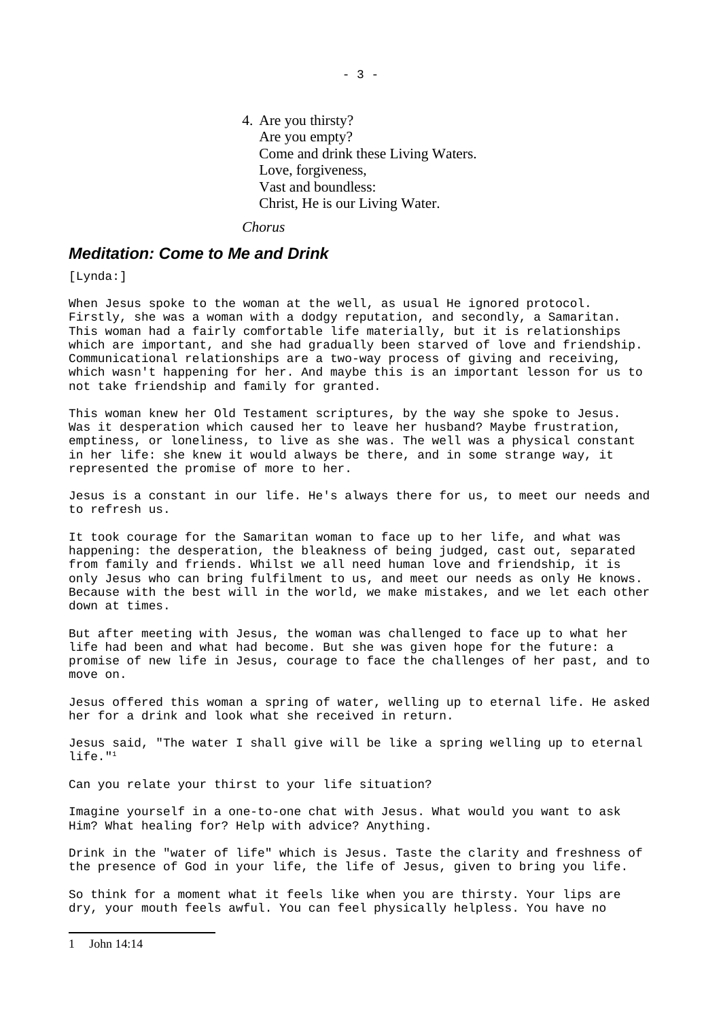4. Are you thirsty? Are you empty? Come and drink these Living Waters. Love, forgiveness, Vast and boundless: Christ, He is our Living Water.

*Chorus*

### <span id="page-2-0"></span>*Meditation: Come to Me and Drink*

[Lynda:]

When Jesus spoke to the woman at the well, as usual He ignored protocol. Firstly, she was a woman with a dodgy reputation, and secondly, a Samaritan. This woman had a fairly comfortable life materially, but it is relationships which are important, and she had gradually been starved of love and friendship. Communicational relationships are a two-way process of giving and receiving, which wasn't happening for her. And maybe this is an important lesson for us to not take friendship and family for granted.

This woman knew her Old Testament scriptures, by the way she spoke to Jesus. Was it desperation which caused her to leave her husband? Maybe frustration, emptiness, or loneliness, to live as she was. The well was a physical constant in her life: she knew it would always be there, and in some strange way, it represented the promise of more to her.

Jesus is a constant in our life. He's always there for us, to meet our needs and to refresh us.

It took courage for the Samaritan woman to face up to her life, and what was happening: the desperation, the bleakness of being judged, cast out, separated from family and friends. Whilst we all need human love and friendship, it is only Jesus who can bring fulfilment to us, and meet our needs as only He knows. Because with the best will in the world, we make mistakes, and we let each other down at times.

But after meeting with Jesus, the woman was challenged to face up to what her life had been and what had become. But she was given hope for the future: a promise of new life in Jesus, courage to face the challenges of her past, and to move on.

Jesus offered this woman a spring of water, welling up to eternal life. He asked her for a drink and look what she received in return.

Jesus said, "The water I shall give will be like a spring welling up to eternal life."[1](#page-2-1)

Can you relate your thirst to your life situation?

Imagine yourself in a one-to-one chat with Jesus. What would you want to ask Him? What healing for? Help with advice? Anything.

Drink in the "water of life" which is Jesus. Taste the clarity and freshness of the presence of God in your life, the life of Jesus, given to bring you life.

<span id="page-2-1"></span>So think for a moment what it feels like when you are thirsty. Your lips are dry, your mouth feels awful. You can feel physically helpless. You have no

<sup>- 3 -</sup>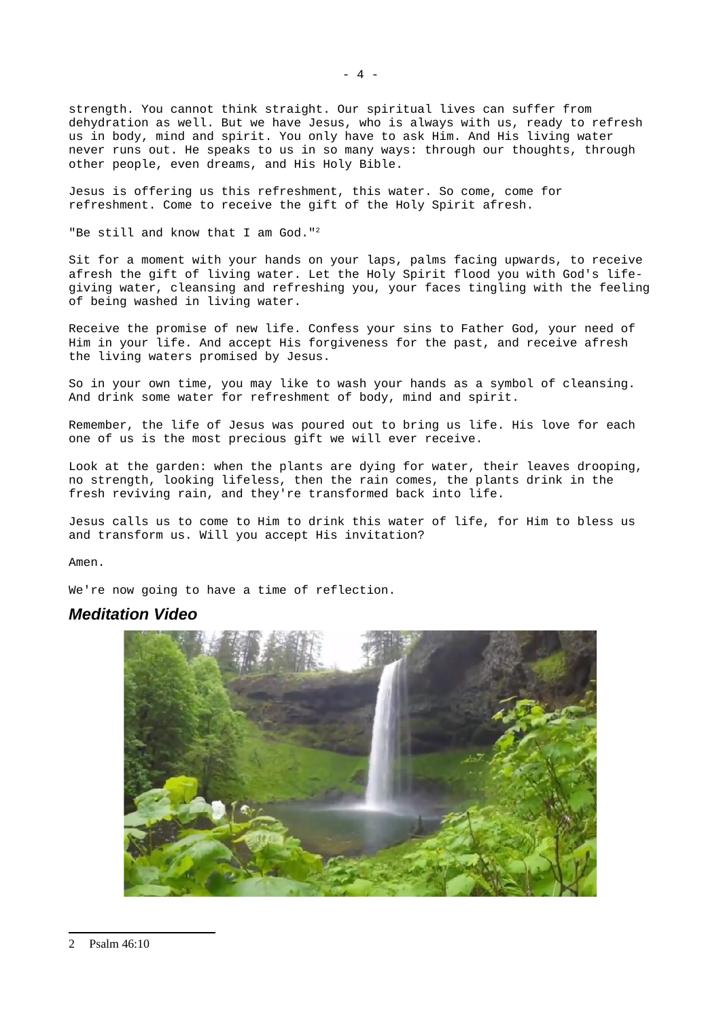strength. You cannot think straight. Our spiritual lives can suffer from dehydration as well. But we have Jesus, who is always with us, ready to refresh us in body, mind and spirit. You only have to ask Him. And His living water never runs out. He speaks to us in so many ways: through our thoughts, through other people, even dreams, and His Holy Bible.

Jesus is offering us this refreshment, this water. So come, come for refreshment. Come to receive the gift of the Holy Spirit afresh.

"Be still and know that I am God."[2](#page-3-1)

Sit for a moment with your hands on your laps, palms facing upwards, to receive afresh the gift of living water. Let the Holy Spirit flood you with God's lifegiving water, cleansing and refreshing you, your faces tingling with the feeling of being washed in living water.

Receive the promise of new life. Confess your sins to Father God, your need of Him in your life. And accept His forgiveness for the past, and receive afresh the living waters promised by Jesus.

So in your own time, you may like to wash your hands as a symbol of cleansing. And drink some water for refreshment of body, mind and spirit.

Remember, the life of Jesus was poured out to bring us life. His love for each one of us is the most precious gift we will ever receive.

Look at the garden: when the plants are dying for water, their leaves drooping, no strength, looking lifeless, then the rain comes, the plants drink in the fresh reviving rain, and they're transformed back into life.

Jesus calls us to come to Him to drink this water of life, for Him to bless us and transform us. Will you accept His invitation?

Amen.

We're now going to have a time of reflection.

#### <span id="page-3-0"></span>*Meditation Video*

<span id="page-3-1"></span>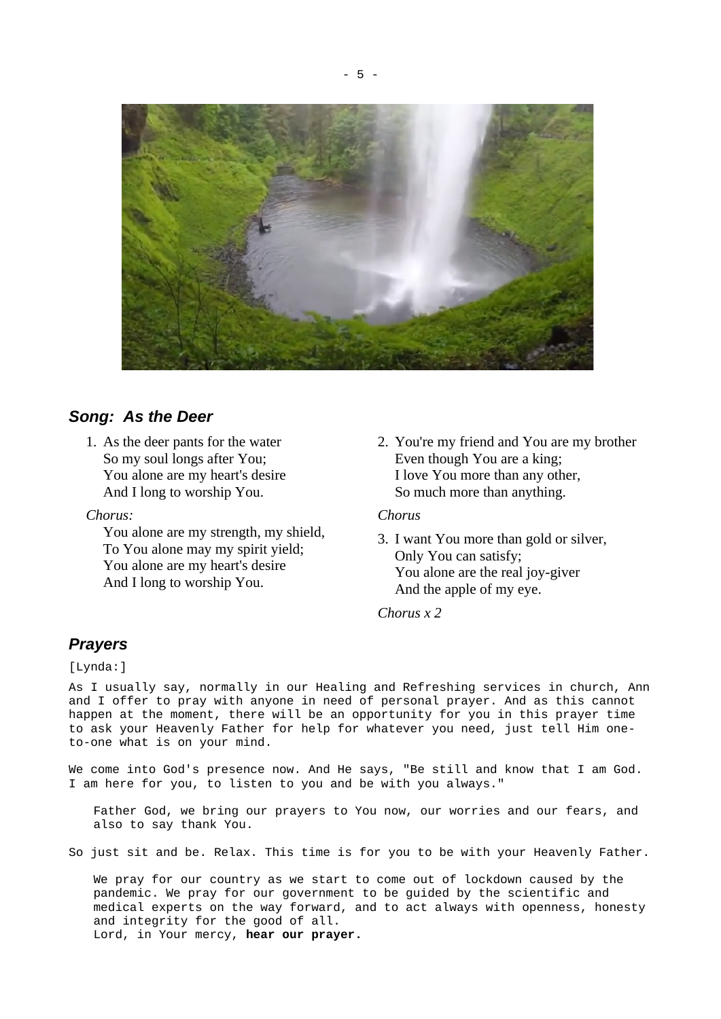

### <span id="page-4-1"></span>*Song: As the Deer*

1. As the deer pants for the water So my soul longs after You; You alone are my heart's desire And I long to worship You.

*Chorus:*

You alone are my strength, my shield, To You alone may my spirit yield; You alone are my heart's desire And I long to worship You.

2. You're my friend and You are my brother Even though You are a king; I love You more than any other, So much more than anything.

#### *Chorus*

3. I want You more than gold or silver, Only You can satisfy; You alone are the real joy-giver And the apple of my eye.

*Chorus x 2*

### <span id="page-4-0"></span>*Prayers*

[Lynda:]

As I usually say, normally in our Healing and Refreshing services in church, Ann and I offer to pray with anyone in need of personal prayer. And as this cannot happen at the moment, there will be an opportunity for you in this prayer time to ask your Heavenly Father for help for whatever you need, just tell Him oneto-one what is on your mind.

We come into God's presence now. And He says, "Be still and know that I am God. I am here for you, to listen to you and be with you always."

Father God, we bring our prayers to You now, our worries and our fears, and also to say thank You.

So just sit and be. Relax. This time is for you to be with your Heavenly Father.

We pray for our country as we start to come out of lockdown caused by the pandemic. We pray for our government to be guided by the scientific and medical experts on the way forward, and to act always with openness, honesty and integrity for the good of all. Lord, in Your mercy, **hear our prayer.**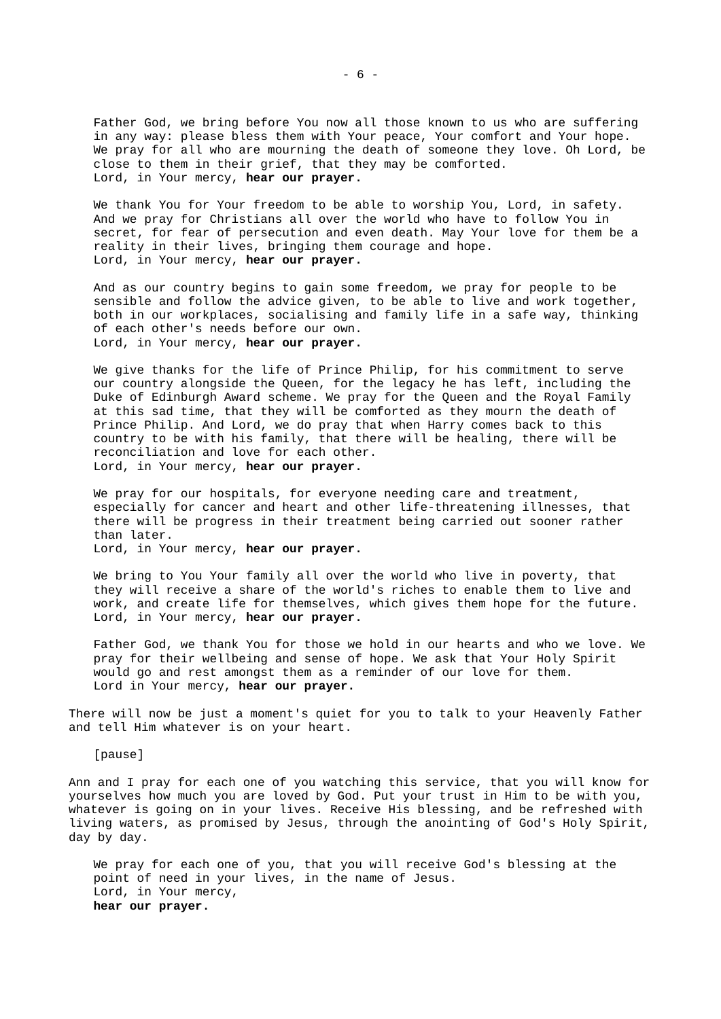Father God, we bring before You now all those known to us who are suffering in any way: please bless them with Your peace, Your comfort and Your hope. We pray for all who are mourning the death of someone they love. Oh Lord, be close to them in their grief, that they may be comforted. Lord, in Your mercy, **hear our prayer.**

We thank You for Your freedom to be able to worship You, Lord, in safety. And we pray for Christians all over the world who have to follow You in secret, for fear of persecution and even death. May Your love for them be a reality in their lives, bringing them courage and hope. Lord, in Your mercy, **hear our prayer.**

And as our country begins to gain some freedom, we pray for people to be sensible and follow the advice given, to be able to live and work together, both in our workplaces, socialising and family life in a safe way, thinking of each other's needs before our own. Lord, in Your mercy, **hear our prayer.**

We give thanks for the life of Prince Philip, for his commitment to serve our country alongside the Queen, for the legacy he has left, including the Duke of Edinburgh Award scheme. We pray for the Queen and the Royal Family at this sad time, that they will be comforted as they mourn the death of Prince Philip. And Lord, we do pray that when Harry comes back to this country to be with his family, that there will be healing, there will be reconciliation and love for each other. Lord, in Your mercy, **hear our prayer.**

We pray for our hospitals, for everyone needing care and treatment, especially for cancer and heart and other life-threatening illnesses, that there will be progress in their treatment being carried out sooner rather than later.

Lord, in Your mercy, **hear our prayer.** 

We bring to You Your family all over the world who live in poverty, that they will receive a share of the world's riches to enable them to live and work, and create life for themselves, which gives them hope for the future. Lord, in Your mercy, **hear our prayer.** 

Father God, we thank You for those we hold in our hearts and who we love. We pray for their wellbeing and sense of hope. We ask that Your Holy Spirit would go and rest amongst them as a reminder of our love for them. Lord in Your mercy, **hear our prayer.**

There will now be just a moment's quiet for you to talk to your Heavenly Father and tell Him whatever is on your heart.

[pause]

Ann and I pray for each one of you watching this service, that you will know for yourselves how much you are loved by God. Put your trust in Him to be with you, whatever is going on in your lives. Receive His blessing, and be refreshed with living waters, as promised by Jesus, through the anointing of God's Holy Spirit, day by day.

We pray for each one of you, that you will receive God's blessing at the point of need in your lives, in the name of Jesus. Lord, in Your mercy, **hear our prayer.**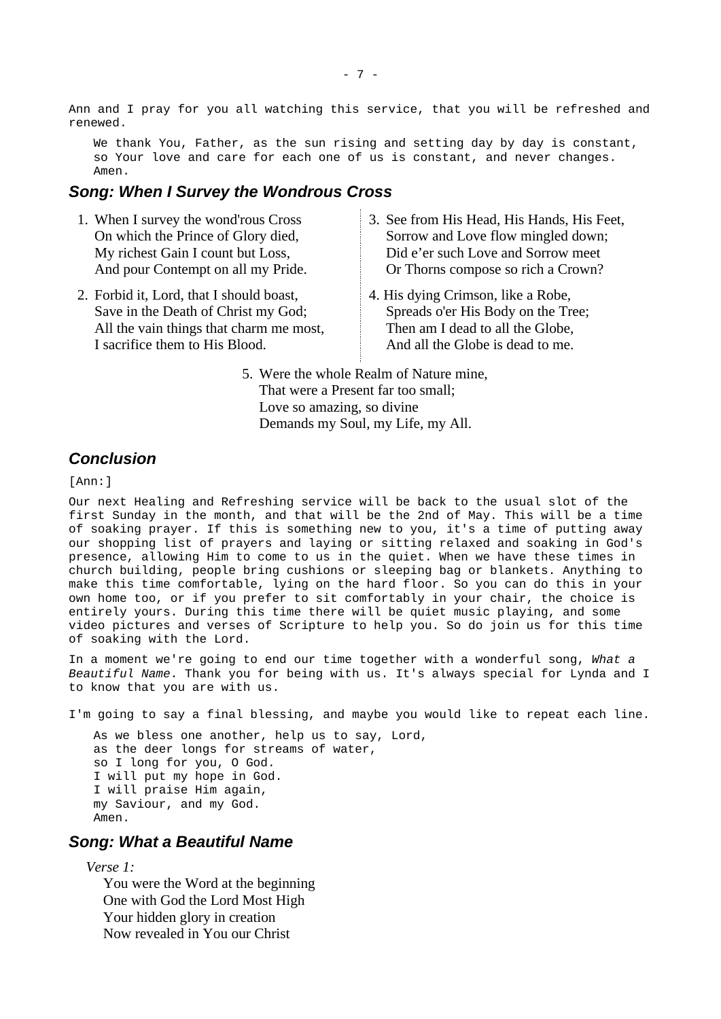Ann and I pray for you all watching this service, that you will be refreshed and renewed.

We thank You, Father, as the sun rising and setting day by day is constant, so Your love and care for each one of us is constant, and never changes. Amen.

#### <span id="page-6-2"></span>*Song: When I Survey the Wondrous Cross*

- 1. When I survey the wond'rous Cross On which the Prince of Glory died, My richest Gain I count but Loss, And pour Contempt on all my Pride.
- 2. Forbid it, Lord, that I should boast, Save in the Death of Christ my God; All the vain things that charm me most, I sacrifice them to His Blood.
- 3. See from His Head, His Hands, His Feet, Sorrow and Love flow mingled down; Did e'er such Love and Sorrow meet Or Thorns compose so rich a Crown?
- 4. His dying Crimson, like a Robe, Spreads o'er His Body on the Tree; Then am I dead to all the Globe, And all the Globe is dead to me.
- 5. Were the whole Realm of Nature mine, That were a Present far too small; Love so amazing, so divine Demands my Soul, my Life, my All.

### <span id="page-6-1"></span>*Conclusion*

[Ann:]

Our next Healing and Refreshing service will be back to the usual slot of the first Sunday in the month, and that will be the 2nd of May. This will be a time of soaking prayer. If this is something new to you, it's a time of putting away our shopping list of prayers and laying or sitting relaxed and soaking in God's presence, allowing Him to come to us in the quiet. When we have these times in church building, people bring cushions or sleeping bag or blankets. Anything to make this time comfortable, lying on the hard floor. So you can do this in your own home too, or if you prefer to sit comfortably in your chair, the choice is entirely yours. During this time there will be quiet music playing, and some video pictures and verses of Scripture to help you. So do join us for this time of soaking with the Lord.

In a moment we're going to end our time together with a wonderful song, *What a Beautiful Name*. Thank you for being with us. It's always special for Lynda and I to know that you are with us.

I'm going to say a final blessing, and maybe you would like to repeat each line.

As we bless one another, help us to say, Lord, as the deer longs for streams of water, so I long for you, O God. I will put my hope in God. I will praise Him again, my Saviour, and my God. Amen.

### <span id="page-6-0"></span>*Song: What a Beautiful Name*

*Verse 1:*

You were the Word at the beginning One with God the Lord Most High Your hidden glory in creation Now revealed in You our Christ